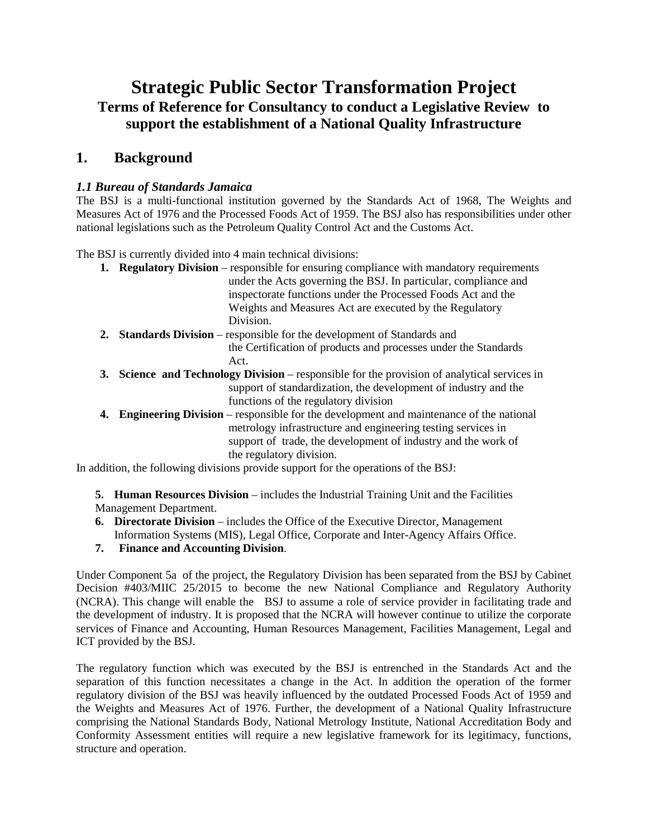# **Strategic Public Sector Transformation Project Terms of Reference for Consultancy to conduct a Legislative Review to support the establishment of a National Quality Infrastructure**

## **1. Background**

#### *1.1 Bureau of Standards Jamaica*

The BSJ is a multi-functional institution governed by the Standards Act of 1968, The Weights and Measures Act of 1976 and the Processed Foods Act of 1959. The BSJ also has responsibilities under other national legislations such as the Petroleum Quality Control Act and the Customs Act.

The BSJ is currently divided into 4 main technical divisions:

- **1. Regulatory Division** responsible for ensuring compliance with mandatory requirements under the Acts governing the BSJ. In particular, compliance and inspectorate functions under the Processed Foods Act and the Weights and Measures Act are executed by the Regulatory Division.
- **2. Standards Division** responsible for the development of Standards and the Certification of products and processes under the Standards Act.
- **3. Science and Technology Division** responsible for the provision of analytical services in support of standardization, the development of industry and the functions of the regulatory division
- **4. Engineering Division** responsible for the development and maintenance of the national metrology infrastructure and engineering testing services in support of trade, the development of industry and the work of the regulatory division.

In addition, the following divisions provide support for the operations of the BSJ:

**5. Human Resources Division** – includes the Industrial Training Unit and the Facilities Management Department.

- **6. Directorate Division** includes the Office of the Executive Director, Management Information Systems (MIS), Legal Office, Corporate and Inter-Agency Affairs Office.
- **7. Finance and Accounting Division**.

Under Component 5a of the project, the Regulatory Division has been separated from the BSJ by Cabinet Decision #403/MIIC 25/2015 to become the new National Compliance and Regulatory Authority (NCRA). This change will enable the BSJ to assume a role of service provider in facilitating trade and the development of industry. It is proposed that the NCRA will however continue to utilize the corporate services of Finance and Accounting, Human Resources Management, Facilities Management, Legal and ICT provided by the BSJ.

The regulatory function which was executed by the BSJ is entrenched in the Standards Act and the separation of this function necessitates a change in the Act. In addition the operation of the former regulatory division of the BSJ was heavily influenced by the outdated Processed Foods Act of 1959 and the Weights and Measures Act of 1976. Further, the development of a National Quality Infrastructure comprising the National Standards Body, National Metrology Institute, National Accreditation Body and Conformity Assessment entities will require a new legislative framework for its legitimacy, functions, structure and operation.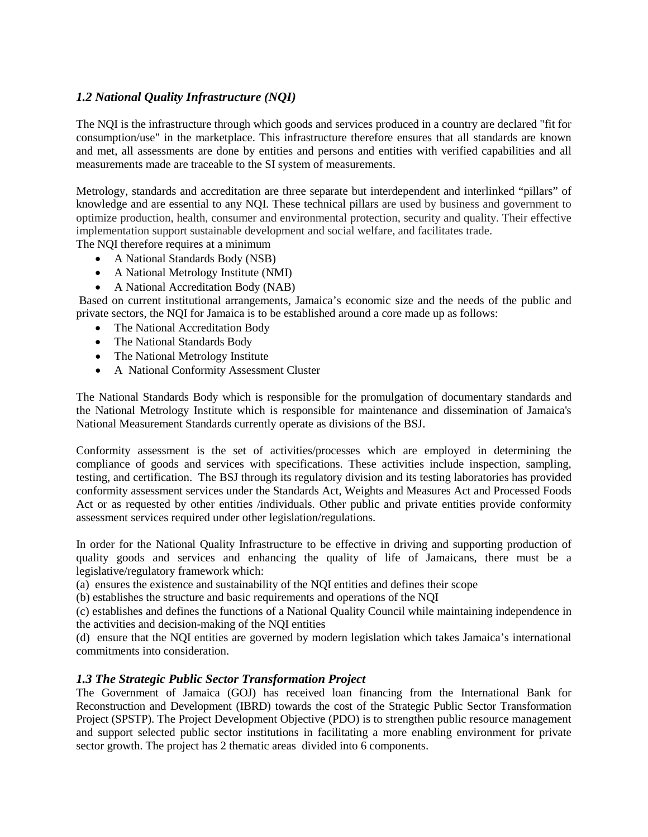### *1.2 National Quality Infrastructure (NQI)*

The NQI is the infrastructure through which goods and services produced in a country are declared "fit for consumption/use" in the marketplace. This infrastructure therefore ensures that all standards are known and met, all assessments are done by entities and persons and entities with verified capabilities and all measurements made are traceable to the SI system of measurements.

Metrology, standards and accreditation are three separate but interdependent and interlinked "pillars" of knowledge and are essential to any NQI. These technical pillars are used by business and government to optimize production, health, consumer and environmental protection, security and quality. Their effective implementation support sustainable development and social welfare, and facilitates trade. The NQI therefore requires at a minimum

- A National Standards Body (NSB)
- A National Metrology Institute (NMI)
- A National Accreditation Body (NAB)

Based on current institutional arrangements, Jamaica's economic size and the needs of the public and private sectors, the NQI for Jamaica is to be established around a core made up as follows:

- The National Accreditation Body
- The National Standards Body
- The National Metrology Institute
- A National Conformity Assessment Cluster

The National Standards Body which is responsible for the promulgation of documentary standards and the National Metrology Institute which is responsible for maintenance and dissemination of Jamaica's National Measurement Standards currently operate as divisions of the BSJ.

Conformity assessment is the set of activities/processes which are employed in determining the compliance of goods and services with specifications. These activities include inspection, sampling, testing, and certification. The BSJ through its regulatory division and its testing laboratories has provided conformity assessment services under the Standards Act, Weights and Measures Act and Processed Foods Act or as requested by other entities /individuals. Other public and private entities provide conformity assessment services required under other legislation/regulations.

In order for the National Quality Infrastructure to be effective in driving and supporting production of quality goods and services and enhancing the quality of life of Jamaicans, there must be a legislative/regulatory framework which:

(a) ensures the existence and sustainability of the NQI entities and defines their scope

(b) establishes the structure and basic requirements and operations of the NQI

(c) establishes and defines the functions of a National Quality Council while maintaining independence in the activities and decision-making of the NQI entities

(d) ensure that the NQI entities are governed by modern legislation which takes Jamaica's international commitments into consideration.

#### *1.3 The Strategic Public Sector Transformation Project*

The Government of Jamaica (GOJ) has received loan financing from the International Bank for Reconstruction and Development (IBRD) towards the cost of the Strategic Public Sector Transformation Project (SPSTP). The Project Development Objective (PDO) is to strengthen public resource management and support selected public sector institutions in facilitating a more enabling environment for private sector growth. The project has 2 thematic areas divided into 6 components.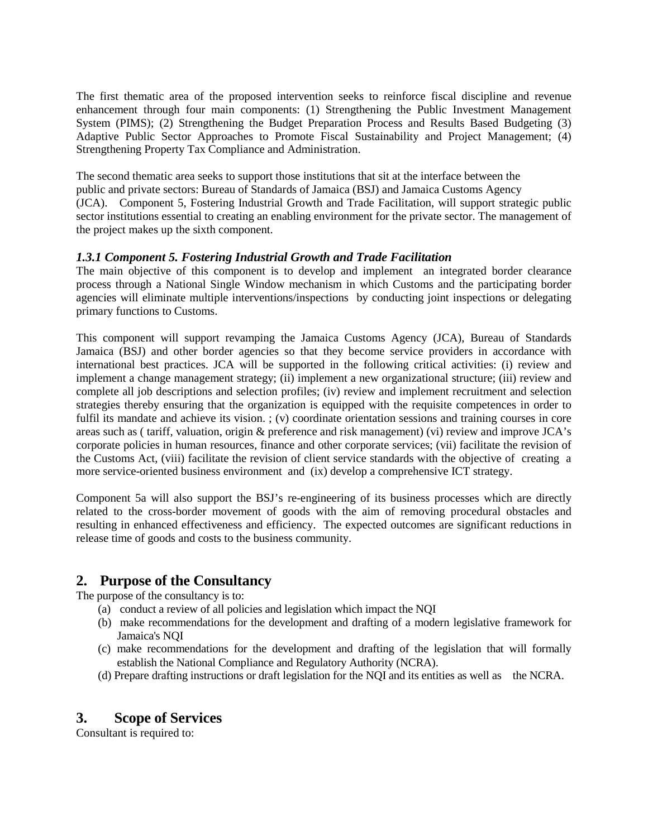The first thematic area of the proposed intervention seeks to reinforce fiscal discipline and revenue enhancement through four main components: (1) Strengthening the Public Investment Management System (PIMS); (2) Strengthening the Budget Preparation Process and Results Based Budgeting (3) Adaptive Public Sector Approaches to Promote Fiscal Sustainability and Project Management; (4) Strengthening Property Tax Compliance and Administration.

The second thematic area seeks to support those institutions that sit at the interface between the public and private sectors: Bureau of Standards of Jamaica (BSJ) and Jamaica Customs Agency (JCA). Component 5, Fostering Industrial Growth and Trade Facilitation, will support strategic public sector institutions essential to creating an enabling environment for the private sector. The management of the project makes up the sixth component.

#### *1.3.1 Component 5. Fostering Industrial Growth and Trade Facilitation*

The main objective of this component is to develop and implement an integrated border clearance process through a National Single Window mechanism in which Customs and the participating border agencies will eliminate multiple interventions/inspections by conducting joint inspections or delegating primary functions to Customs.

This component will support revamping the Jamaica Customs Agency (JCA), Bureau of Standards Jamaica (BSJ) and other border agencies so that they become service providers in accordance with international best practices. JCA will be supported in the following critical activities: (i) review and implement a change management strategy; (ii) implement a new organizational structure; (iii) review and complete all job descriptions and selection profiles; (iv) review and implement recruitment and selection strategies thereby ensuring that the organization is equipped with the requisite competences in order to fulfil its mandate and achieve its vision. ; (v) coordinate orientation sessions and training courses in core areas such as ( tariff, valuation, origin & preference and risk management) (vi) review and improve JCA's corporate policies in human resources, finance and other corporate services; (vii) facilitate the revision of the Customs Act, (viii) facilitate the revision of client service standards with the objective of creating a more service-oriented business environment and (ix) develop a comprehensive ICT strategy.

Component 5a will also support the BSJ's re-engineering of its business processes which are directly related to the cross-border movement of goods with the aim of removing procedural obstacles and resulting in enhanced effectiveness and efficiency. The expected outcomes are significant reductions in release time of goods and costs to the business community.

## **2. Purpose of the Consultancy**

The purpose of the consultancy is to:

- (a) conduct a review of all policies and legislation which impact the NQI
- (b) make recommendations for the development and drafting of a modern legislative framework for Jamaica's NQI
- (c) make recommendations for the development and drafting of the legislation that will formally establish the National Compliance and Regulatory Authority (NCRA).
- (d) Prepare drafting instructions or draft legislation for the NQI and its entities as well as the NCRA.

## **3. Scope of Services**

Consultant is required to: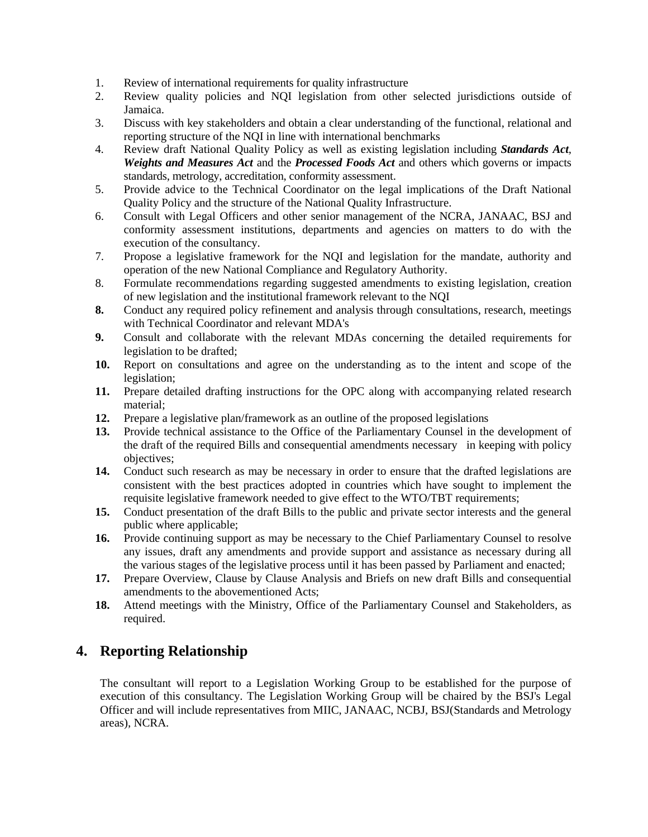- 1. Review of international requirements for quality infrastructure
- 2. Review quality policies and NQI legislation from other selected jurisdictions outside of Jamaica.
- 3. Discuss with key stakeholders and obtain a clear understanding of the functional, relational and reporting structure of the NQI in line with international benchmarks
- 4. Review draft National Quality Policy as well as existing legislation including *Standards Act*, *Weights and Measures Act* and the *Processed Foods Act* and others which governs or impacts standards, metrology, accreditation, conformity assessment.
- 5. Provide advice to the Technical Coordinator on the legal implications of the Draft National Quality Policy and the structure of the National Quality Infrastructure.
- 6. Consult with Legal Officers and other senior management of the NCRA, JANAAC, BSJ and conformity assessment institutions, departments and agencies on matters to do with the execution of the consultancy.
- 7. Propose a legislative framework for the NQI and legislation for the mandate, authority and operation of the new National Compliance and Regulatory Authority.
- 8. Formulate recommendations regarding suggested amendments to existing legislation, creation of new legislation and the institutional framework relevant to the NQI
- **8.** Conduct any required policy refinement and analysis through consultations, research, meetings with Technical Coordinator and relevant MDA's
- **9.** Consult and collaborate with the relevant MDAs concerning the detailed requirements for legislation to be drafted;
- **10.** Report on consultations and agree on the understanding as to the intent and scope of the legislation;
- **11.** Prepare detailed drafting instructions for the OPC along with accompanying related research material;
- **12.** Prepare a legislative plan/framework as an outline of the proposed legislations
- **13.** Provide technical assistance to the Office of the Parliamentary Counsel in the development of the draft of the required Bills and consequential amendments necessary in keeping with policy objectives;
- **14.** Conduct such research as may be necessary in order to ensure that the drafted legislations are consistent with the best practices adopted in countries which have sought to implement the requisite legislative framework needed to give effect to the WTO/TBT requirements;
- **15.** Conduct presentation of the draft Bills to the public and private sector interests and the general public where applicable;
- **16.** Provide continuing support as may be necessary to the Chief Parliamentary Counsel to resolve any issues, draft any amendments and provide support and assistance as necessary during all the various stages of the legislative process until it has been passed by Parliament and enacted;
- **17.** Prepare Overview, Clause by Clause Analysis and Briefs on new draft Bills and consequential amendments to the abovementioned Acts;
- **18.** Attend meetings with the Ministry, Office of the Parliamentary Counsel and Stakeholders, as required.

## **4. Reporting Relationship**

The consultant will report to a Legislation Working Group to be established for the purpose of execution of this consultancy. The Legislation Working Group will be chaired by the BSJ's Legal Officer and will include representatives from MIIC, JANAAC, NCBJ, BSJ(Standards and Metrology areas), NCRA.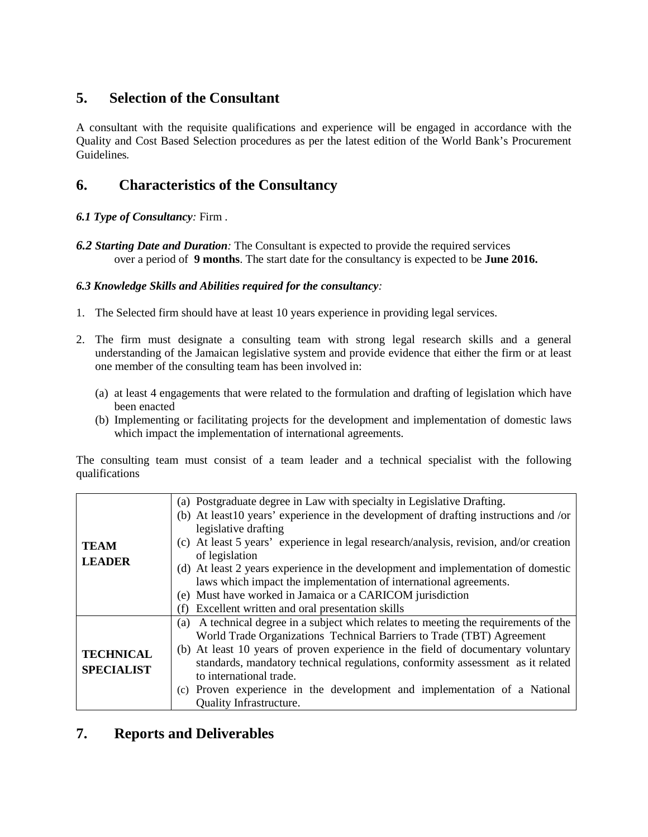# **5. Selection of the Consultant**

A consultant with the requisite qualifications and experience will be engaged in accordance with the Quality and Cost Based Selection procedures as per the latest edition of the World Bank's Procurement Guidelines*.*

# **6. Characteristics of the Consultancy**

#### *6.1 Type of Consultancy:* Firm .

*6.2 Starting Date and Duration:* The Consultant is expected to provide the required services over a period of **9 months**. The start date for the consultancy is expected to be **June 2016.**

#### *6.3 Knowledge Skills and Abilities required for the consultancy:*

- 1. The Selected firm should have at least 10 years experience in providing legal services.
- 2. The firm must designate a consulting team with strong legal research skills and a general understanding of the Jamaican legislative system and provide evidence that either the firm or at least one member of the consulting team has been involved in:
	- (a) at least 4 engagements that were related to the formulation and drafting of legislation which have been enacted
	- (b) Implementing or facilitating projects for the development and implementation of domestic laws which impact the implementation of international agreements.

The consulting team must consist of a team leader and a technical specialist with the following qualifications

|                   | (a) Postgraduate degree in Law with specialty in Legislative Drafting.                  |
|-------------------|-----------------------------------------------------------------------------------------|
|                   | (b) At least 10 years' experience in the development of drafting instructions and /or   |
|                   | legislative drafting                                                                    |
| <b>TEAM</b>       | (c) At least 5 years' experience in legal research/analysis, revision, and/or creation  |
| <b>LEADER</b>     | of legislation                                                                          |
|                   | (d) At least 2 years experience in the development and implementation of domestic       |
|                   | laws which impact the implementation of international agreements.                       |
|                   | (e) Must have worked in Jamaica or a CARICOM jurisdiction                               |
|                   | Excellent written and oral presentation skills<br>(f)                                   |
|                   | A technical degree in a subject which relates to meeting the requirements of the<br>(a) |
|                   | World Trade Organizations Technical Barriers to Trade (TBT) Agreement                   |
|                   | (b) At least 10 years of proven experience in the field of documentary voluntary        |
| <b>TECHNICAL</b>  | standards, mandatory technical regulations, conformity assessment as it related         |
| <b>SPECIALIST</b> | to international trade.                                                                 |
|                   | (c) Proven experience in the development and implementation of a National               |
|                   | <b>Quality Infrastructure.</b>                                                          |

## **7. Reports and Deliverables**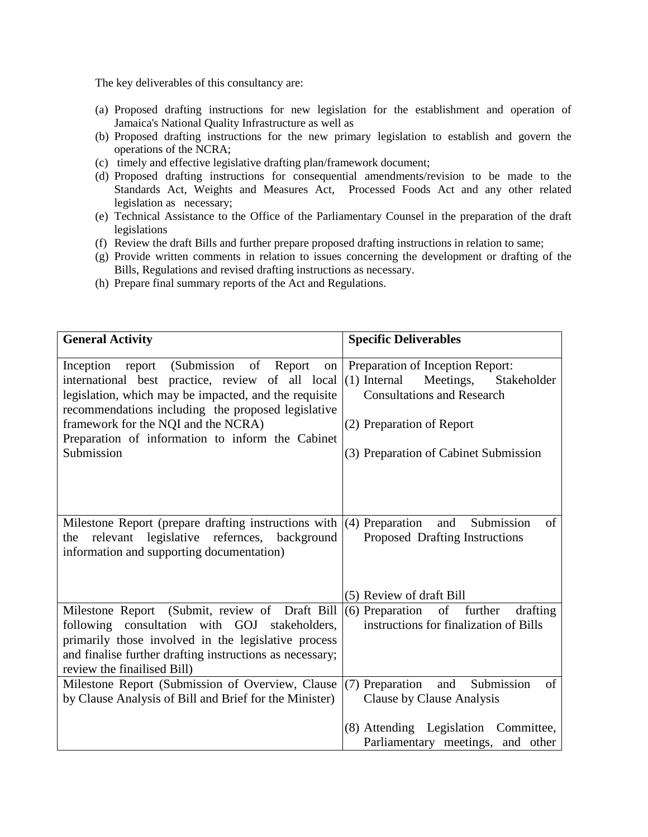The key deliverables of this consultancy are:

- (a) Proposed drafting instructions for new legislation for the establishment and operation of Jamaica's National Quality Infrastructure as well as
- (b) Proposed drafting instructions for the new primary legislation to establish and govern the operations of the NCRA;
- (c) timely and effective legislative drafting plan/framework document;
- (d) Proposed drafting instructions for consequential amendments/revision to be made to the Standards Act, Weights and Measures Act, Processed Foods Act and any other related legislation as necessary;
- (e) Technical Assistance to the Office of the Parliamentary Counsel in the preparation of the draft legislations
- (f) Review the draft Bills and further prepare proposed drafting instructions in relation to same;
- (g) Provide written comments in relation to issues concerning the development or drafting of the Bills, Regulations and revised drafting instructions as necessary.
- (h) Prepare final summary reports of the Act and Regulations.

| <b>General Activity</b>                                                                                                                                                                                                                                                                                                  | <b>Specific Deliverables</b>                                                                                                                                                              |  |  |
|--------------------------------------------------------------------------------------------------------------------------------------------------------------------------------------------------------------------------------------------------------------------------------------------------------------------------|-------------------------------------------------------------------------------------------------------------------------------------------------------------------------------------------|--|--|
| Inception report (Submission of Report<br>on<br>international best practice, review of all local<br>legislation, which may be impacted, and the requisite<br>recommendations including the proposed legislative<br>framework for the NQI and the NCRA)<br>Preparation of information to inform the Cabinet<br>Submission | Preparation of Inception Report:<br>$(1)$ Internal<br>Meetings,<br>Stakeholder<br><b>Consultations and Research</b><br>(2) Preparation of Report<br>(3) Preparation of Cabinet Submission |  |  |
| Milestone Report (prepare drafting instructions with<br>relevant legislative refernces, background<br>the<br>information and supporting documentation)                                                                                                                                                                   | (4) Preparation<br>Submission<br>of<br>and<br>Proposed Drafting Instructions                                                                                                              |  |  |
|                                                                                                                                                                                                                                                                                                                          | (5) Review of draft Bill                                                                                                                                                                  |  |  |
| Milestone Report (Submit, review of Draft Bill<br>following consultation with GOJ stakeholders,<br>primarily those involved in the legislative process<br>and finalise further drafting instructions as necessary;<br>review the finalised Bill)                                                                         | (6) Preparation of further<br>drafting<br>instructions for finalization of Bills                                                                                                          |  |  |
| Milestone Report (Submission of Overview, Clause<br>by Clause Analysis of Bill and Brief for the Minister)                                                                                                                                                                                                               | Submission<br>(7) Preparation<br>and<br>of<br>Clause by Clause Analysis                                                                                                                   |  |  |
|                                                                                                                                                                                                                                                                                                                          | (8) Attending Legislation Committee,<br>Parliamentary meetings, and other                                                                                                                 |  |  |